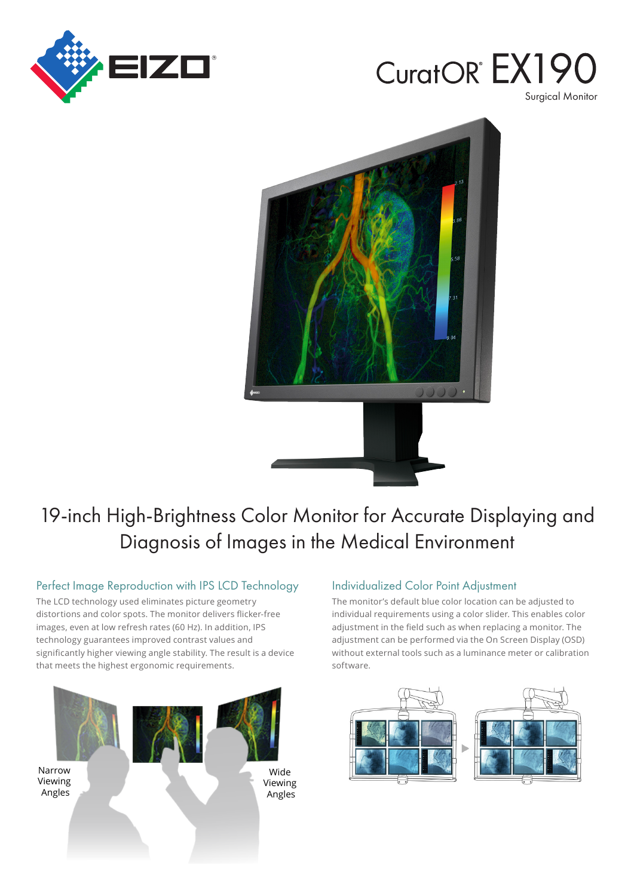

# CuratOR EX19 Surgical Monitor



## 19-inch High-Brightness Color Monitor for Accurate Displaying and Diagnosis of Images in the Medical Environment

#### Perfect Image Reproduction with IPS LCD Technology

The LCD technology used eliminates picture geometry distortions and color spots. The monitor delivers flicker-free images, even at low refresh rates (60 Hz). In addition, IPS technology guarantees improved contrast values and significantly higher viewing angle stability. The result is a device that meets the highest ergonomic requirements.



#### **Individualized Color Point Adjustment**

The monitor's default blue color location can be adjusted to individual requirements using a color slider. This enables color adjustment in the field such as when replacing a monitor. The adjustment can be performed via the On Screen Display (OSD) without external tools such as a luminance meter or calibration .software